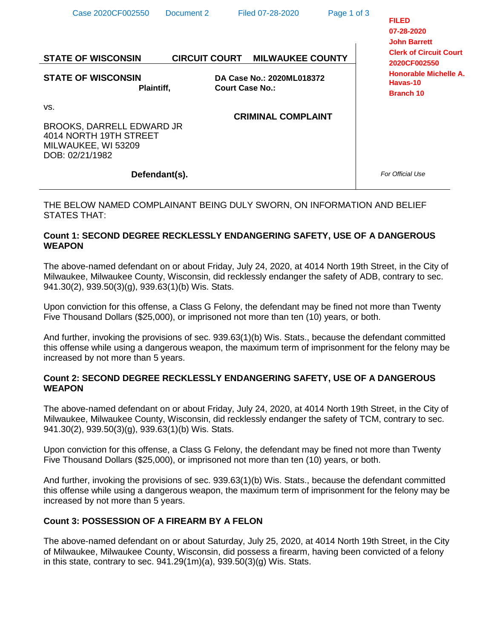| Case 2020CF002550<br><b>STATE OF WISCONSIN</b>                                                       | Document 2 | Filed 07-28-2020<br><b>CIRCUIT COURT MILWAUKEE COUNTY</b> | Page 1 of 3 | <b>FILED</b><br>07-28-2020<br><b>John Barrett</b><br><b>Clerk of Circuit Court</b><br>2020CF002550 |
|------------------------------------------------------------------------------------------------------|------------|-----------------------------------------------------------|-------------|----------------------------------------------------------------------------------------------------|
| <b>STATE OF WISCONSIN</b><br>Plaintiff,                                                              |            | DA Case No.: 2020ML018372<br><b>Court Case No.:</b>       |             | Honorable Michelle A.<br>Havas-10<br><b>Branch 10</b>                                              |
| VS.<br>BROOKS, DARRELL EDWARD JR<br>4014 NORTH 19TH STREET<br>MILWAUKEE, WI 53209<br>DOB: 02/21/1982 |            | <b>CRIMINAL COMPLAINT</b>                                 |             |                                                                                                    |
| Defendant(s).                                                                                        |            |                                                           |             | For Official Use                                                                                   |

THE BELOW NAMED COMPLAINANT BEING DULY SWORN, ON INFORMATION AND BELIEF STATES THAT:

# **Count 1: SECOND DEGREE RECKLESSLY ENDANGERING SAFETY, USE OF A DANGEROUS WEAPON**

The above-named defendant on or about Friday, July 24, 2020, at 4014 North 19th Street, in the City of Milwaukee, Milwaukee County, Wisconsin, did recklessly endanger the safety of ADB, contrary to sec. 941.30(2), 939.50(3)(g), 939.63(1)(b) Wis. Stats.

Upon conviction for this offense, a Class G Felony, the defendant may be fined not more than Twenty Five Thousand Dollars (\$25,000), or imprisoned not more than ten (10) years, or both.

And further, invoking the provisions of sec. 939.63(1)(b) Wis. Stats., because the defendant committed this offense while using a dangerous weapon, the maximum term of imprisonment for the felony may be increased by not more than 5 years.

## **Count 2: SECOND DEGREE RECKLESSLY ENDANGERING SAFETY, USE OF A DANGEROUS WEAPON**

The above-named defendant on or about Friday, July 24, 2020, at 4014 North 19th Street, in the City of Milwaukee, Milwaukee County, Wisconsin, did recklessly endanger the safety of TCM, contrary to sec. 941.30(2), 939.50(3)(g), 939.63(1)(b) Wis. Stats.

Upon conviction for this offense, a Class G Felony, the defendant may be fined not more than Twenty Five Thousand Dollars (\$25,000), or imprisoned not more than ten (10) years, or both.

And further, invoking the provisions of sec. 939.63(1)(b) Wis. Stats., because the defendant committed this offense while using a dangerous weapon, the maximum term of imprisonment for the felony may be increased by not more than 5 years.

# **Count 3: POSSESSION OF A FIREARM BY A FELON**

The above-named defendant on or about Saturday, July 25, 2020, at 4014 North 19th Street, in the City of Milwaukee, Milwaukee County, Wisconsin, did possess a firearm, having been convicted of a felony in this state, contrary to sec.  $941.29(1m)(a)$ ,  $939.50(3)(g)$  Wis. Stats.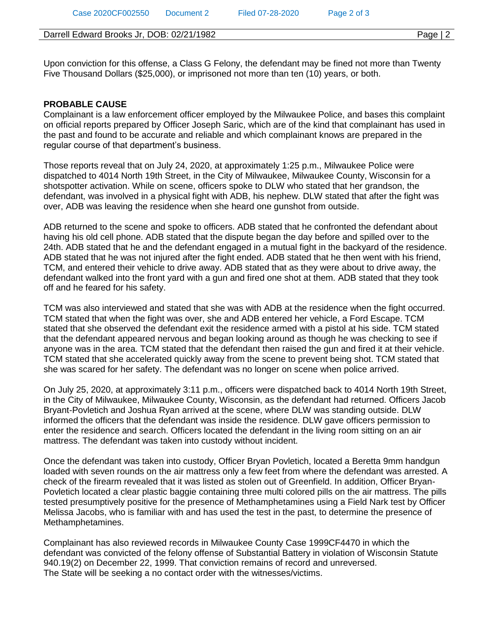### Darrell Edward Brooks Jr, DOB: 02/21/1982 Page | 2

Upon conviction for this offense, a Class G Felony, the defendant may be fined not more than Twenty Five Thousand Dollars (\$25,000), or imprisoned not more than ten (10) years, or both.

### **PROBABLE CAUSE**

Complainant is a law enforcement officer employed by the Milwaukee Police, and bases this complaint on official reports prepared by Officer Joseph Saric, which are of the kind that complainant has used in the past and found to be accurate and reliable and which complainant knows are prepared in the regular course of that department's business.

Those reports reveal that on July 24, 2020, at approximately 1:25 p.m., Milwaukee Police were dispatched to 4014 North 19th Street, in the City of Milwaukee, Milwaukee County, Wisconsin for a shotspotter activation. While on scene, officers spoke to DLW who stated that her grandson, the defendant, was involved in a physical fight with ADB, his nephew. DLW stated that after the fight was over, ADB was leaving the residence when she heard one gunshot from outside.

ADB returned to the scene and spoke to officers. ADB stated that he confronted the defendant about having his old cell phone. ADB stated that the dispute began the day before and spilled over to the 24th. ADB stated that he and the defendant engaged in a mutual fight in the backyard of the residence. ADB stated that he was not injured after the fight ended. ADB stated that he then went with his friend, TCM, and entered their vehicle to drive away. ADB stated that as they were about to drive away, the defendant walked into the front yard with a gun and fired one shot at them. ADB stated that they took off and he feared for his safety.

TCM was also interviewed and stated that she was with ADB at the residence when the fight occurred. TCM stated that when the fight was over, she and ADB entered her vehicle, a Ford Escape. TCM stated that she observed the defendant exit the residence armed with a pistol at his side. TCM stated that the defendant appeared nervous and began looking around as though he was checking to see if anyone was in the area. TCM stated that the defendant then raised the gun and fired it at their vehicle. TCM stated that she accelerated quickly away from the scene to prevent being shot. TCM stated that she was scared for her safety. The defendant was no longer on scene when police arrived.

On July 25, 2020, at approximately 3:11 p.m., officers were dispatched back to 4014 North 19th Street, in the City of Milwaukee, Milwaukee County, Wisconsin, as the defendant had returned. Officers Jacob Bryant-Povletich and Joshua Ryan arrived at the scene, where DLW was standing outside. DLW informed the officers that the defendant was inside the residence. DLW gave officers permission to enter the residence and search. Officers located the defendant in the living room sitting on an air mattress. The defendant was taken into custody without incident.

Once the defendant was taken into custody, Officer Bryan Povletich, located a Beretta 9mm handgun loaded with seven rounds on the air mattress only a few feet from where the defendant was arrested. A check of the firearm revealed that it was listed as stolen out of Greenfield. In addition, Officer Bryan-Povletich located a clear plastic baggie containing three multi colored pills on the air mattress. The pills tested presumptively positive for the presence of Methamphetamines using a Field Nark test by Officer Melissa Jacobs, who is familiar with and has used the test in the past, to determine the presence of Methamphetamines.

Complainant has also reviewed records in Milwaukee County Case 1999CF4470 in which the defendant was convicted of the felony offense of Substantial Battery in violation of Wisconsin Statute 940.19(2) on December 22, 1999. That conviction remains of record and unreversed. The State will be seeking a no contact order with the witnesses/victims.